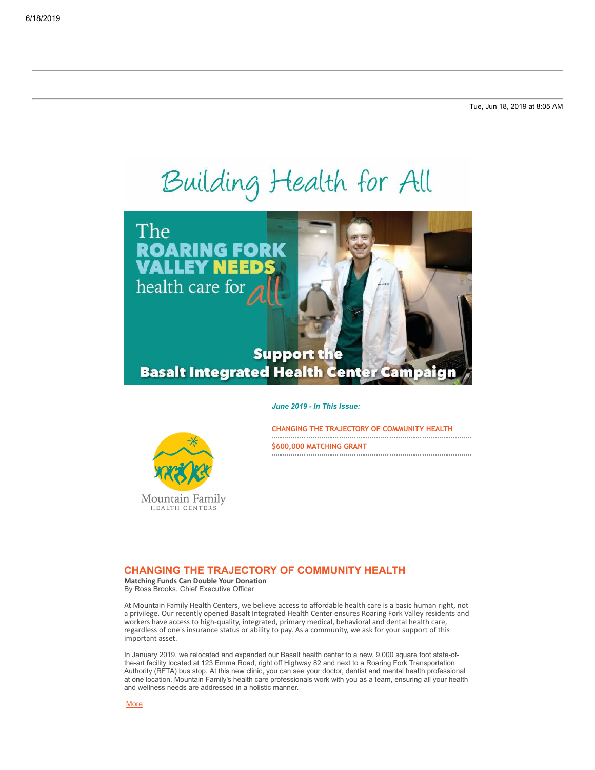Tue, Jun 18, 2019 at 8:05 AM

# Building Health for All



## **Basalt Integrated Health Center Campaign**

#### *June 2019 - In This Issue:*



**[\\$600,000 MATCHING GRANT](#page-1-0)**

## <span id="page-0-0"></span>**CHANGING THE TRAJECTORY OF COMMUNITY HEALTH**

**Matching Funds Can Double Your Donation** By Ross Brooks, Chief Executive Officer

Mountain Family HEALTH CENTERS

At Mountain Family Health Centers, we believe access to affordable health care is a basic human right, not a privilege. Our recently opened Basalt Integrated Health Center ensures Roaring Fork Valley residents and workers have access to high-quality, integrated, primary medical, behavioral and dental health care, regardless of one's insurance status or ability to pay. As a community, we ask for your support of this important asset.

In January 2019, we relocated and expanded our Basalt health center to a new, 9,000 square foot state-ofthe-art facility located at 123 Emma Road, right off Highway 82 and next to a Roaring Fork Transportation Authority (RFTA) bus stop. At this new clinic, you can see your doctor, dentist and mental health professional at one location. Mountain Family's health care professionals work with you as a team, ensuring all your health and wellness needs are addressed in a holistic manner.